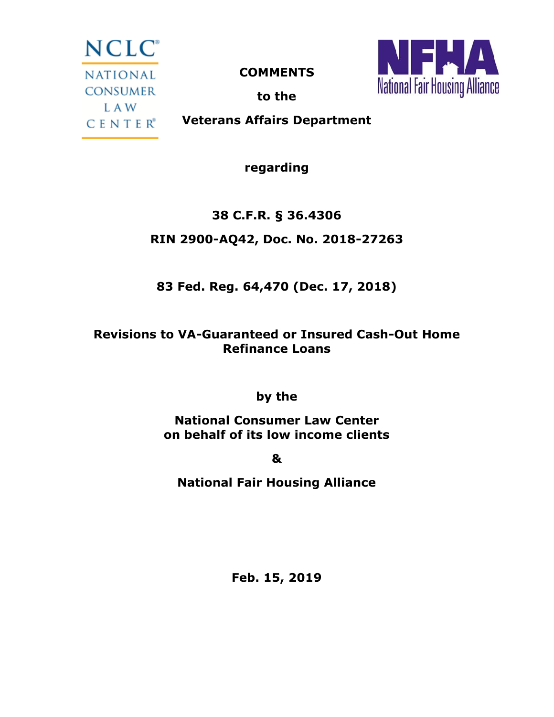NCLC<sup>®</sup> NATIONAL CONSUMER L A W **CENTER**<sup>®</sup>

**COMMENTS**



**to the**

**Veterans Affairs Department**

**regarding**

## **38 C.F.R. § 36.4306**

### **RIN 2900-AQ42, Doc. No. 2018-27263**

## **83 Fed. Reg. 64,470 (Dec. 17, 2018)**

### **Revisions to VA-Guaranteed or Insured Cash-Out Home Refinance Loans**

**by the**

**National Consumer Law Center on behalf of its low income clients**

**&**

**National Fair Housing Alliance**

**Feb. 15, 2019**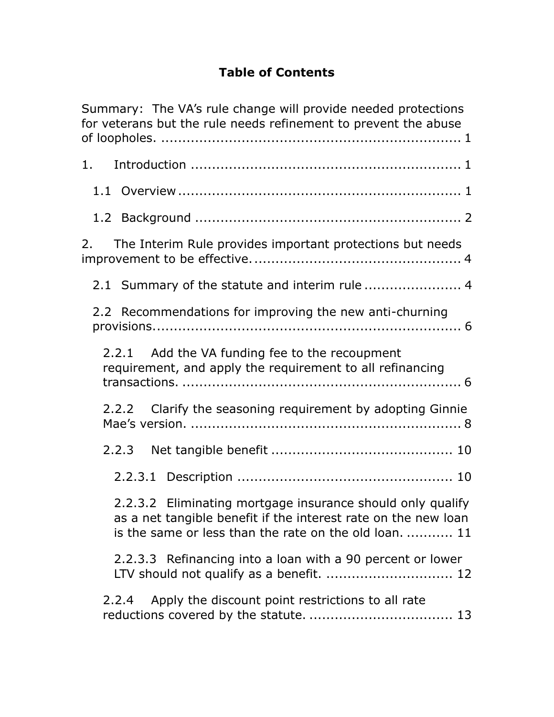### **Table of Contents**

| Summary: The VA's rule change will provide needed protections<br>for veterans but the rule needs refinement to prevent the abuse                                                       |  |  |
|----------------------------------------------------------------------------------------------------------------------------------------------------------------------------------------|--|--|
| 1.                                                                                                                                                                                     |  |  |
|                                                                                                                                                                                        |  |  |
|                                                                                                                                                                                        |  |  |
| The Interim Rule provides important protections but needs<br>2.                                                                                                                        |  |  |
|                                                                                                                                                                                        |  |  |
| 2.2 Recommendations for improving the new anti-churning                                                                                                                                |  |  |
| 2.2.1 Add the VA funding fee to the recoupment<br>requirement, and apply the requirement to all refinancing                                                                            |  |  |
| 2.2.2 Clarify the seasoning requirement by adopting Ginnie                                                                                                                             |  |  |
| 2.2.3                                                                                                                                                                                  |  |  |
|                                                                                                                                                                                        |  |  |
| 2.2.3.2 Eliminating mortgage insurance should only qualify<br>as a net tangible benefit if the interest rate on the new loan<br>is the same or less than the rate on the old loan.  11 |  |  |
| 2.2.3.3 Refinancing into a loan with a 90 percent or lower<br>LTV should not qualify as a benefit.  12                                                                                 |  |  |
| Apply the discount point restrictions to all rate<br>2.2.4                                                                                                                             |  |  |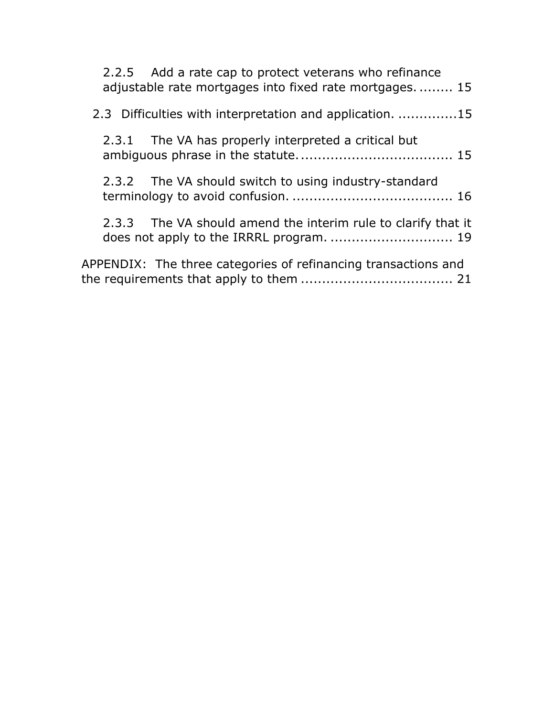|                                                          |  | 2.2.5 Add a rate cap to protect veterans who refinance<br>adjustable rate mortgages into fixed rate mortgages 15 |
|----------------------------------------------------------|--|------------------------------------------------------------------------------------------------------------------|
| 2.3 Difficulties with interpretation and application. 15 |  |                                                                                                                  |
|                                                          |  | 2.3.1 The VA has properly interpreted a critical but                                                             |
|                                                          |  | 2.3.2 The VA should switch to using industry-standard                                                            |
|                                                          |  | 2.3.3 The VA should amend the interim rule to clarify that it                                                    |
|                                                          |  | APPENDIX: The three categories of refinancing transactions and                                                   |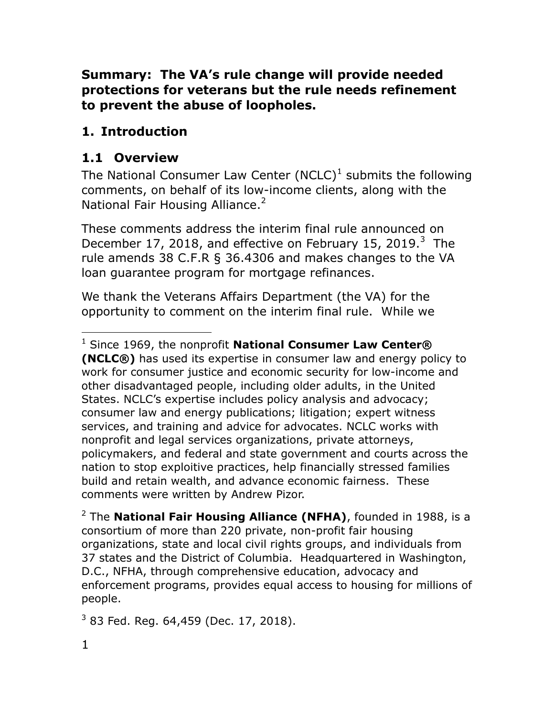### **Summary: The VA's rule change will provide needed protections for veterans but the rule needs refinement to prevent the abuse of loopholes.**

## **1. Introduction**

## **1.1 Overview**

The National Consumer Law Center (NCLC)<sup>1</sup> submits the following comments, on behalf of its low-income clients, along with the National Fair Housing Alliance.<sup>2</sup>

These comments address the interim final rule announced on December 17, 2018, and effective on February 15, 2019. $3$  The rule amends 38 C.F.R § 36.4306 and makes changes to the VA loan guarantee program for mortgage refinances.

We thank the Veterans Affairs Department (the VA) for the opportunity to comment on the interim final rule. While we

<sup>2</sup> The **National Fair Housing Alliance (NFHA)**, founded in 1988, is a consortium of more than 220 private, non-profit fair housing organizations, state and local civil rights groups, and individuals from 37 states and the District of Columbia. Headquartered in Washington, D.C., NFHA, through comprehensive education, advocacy and enforcement programs, provides equal access to housing for millions of people.

 $3$  83 Fed. Reg. 64,459 (Dec. 17, 2018).

<sup>1</sup> Since 1969, the nonprofit **National Consumer Law Center® (NCLC®)** has used its expertise in consumer law and energy policy to work for consumer justice and economic security for low-income and other disadvantaged people, including older adults, in the United States. NCLC's expertise includes policy analysis and advocacy; consumer law and energy publications; litigation; expert witness services, and training and advice for advocates. NCLC works with nonprofit and legal services organizations, private attorneys, policymakers, and federal and state government and courts across the nation to stop exploitive practices, help financially stressed families build and retain wealth, and advance economic fairness. These comments were written by Andrew Pizor.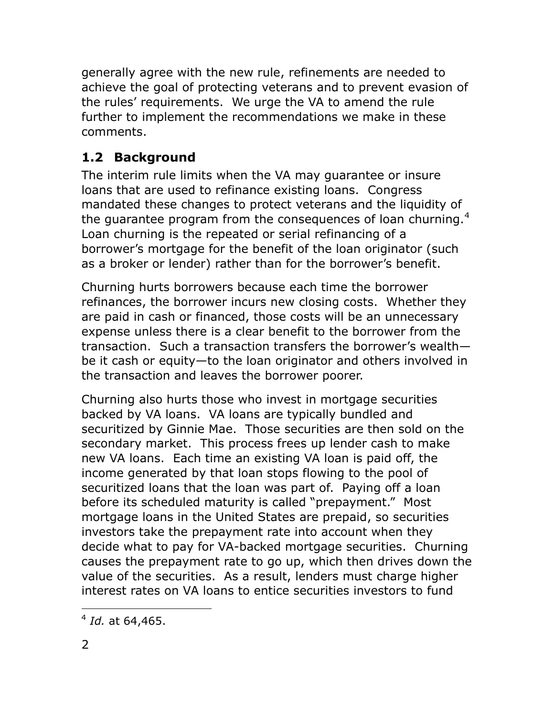generally agree with the new rule, refinements are needed to achieve the goal of protecting veterans and to prevent evasion of the rules" requirements. We urge the VA to amend the rule further to implement the recommendations we make in these comments.

## **1.2 Background**

The interim rule limits when the VA may guarantee or insure loans that are used to refinance existing loans. Congress mandated these changes to protect veterans and the liquidity of the quarantee program from the consequences of loan churning.<sup>4</sup> Loan churning is the repeated or serial refinancing of a borrower"s mortgage for the benefit of the loan originator (such as a broker or lender) rather than for the borrower's benefit.

Churning hurts borrowers because each time the borrower refinances, the borrower incurs new closing costs. Whether they are paid in cash or financed, those costs will be an unnecessary expense unless there is a clear benefit to the borrower from the transaction. Such a transaction transfers the borrower"s wealth be it cash or equity—to the loan originator and others involved in the transaction and leaves the borrower poorer.

Churning also hurts those who invest in mortgage securities backed by VA loans. VA loans are typically bundled and securitized by Ginnie Mae. Those securities are then sold on the secondary market. This process frees up lender cash to make new VA loans. Each time an existing VA loan is paid off, the income generated by that loan stops flowing to the pool of securitized loans that the loan was part of. Paying off a loan before its scheduled maturity is called "prepayment." Most mortgage loans in the United States are prepaid, so securities investors take the prepayment rate into account when they decide what to pay for VA-backed mortgage securities. Churning causes the prepayment rate to go up, which then drives down the value of the securities. As a result, lenders must charge higher interest rates on VA loans to entice securities investors to fund

 $\overline{a}$ 4 *Id.* at 64,465.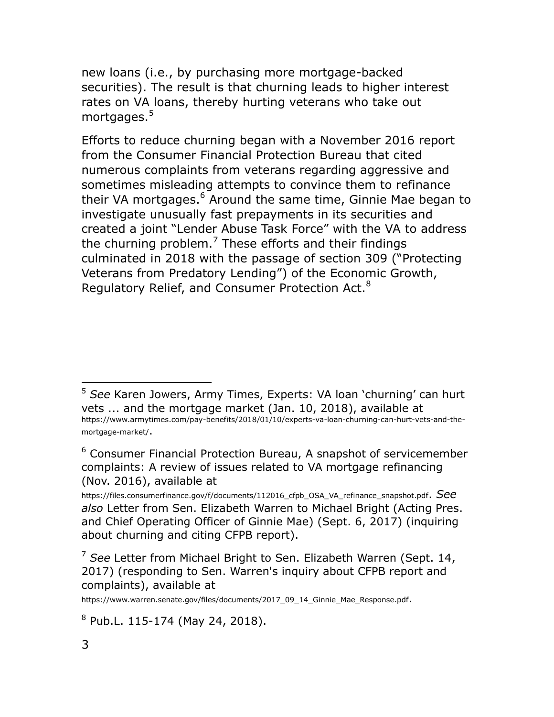new loans (i.e., by purchasing more mortgage-backed securities). The result is that churning leads to higher interest rates on VA loans, thereby hurting veterans who take out mortgages.<sup>5</sup>

Efforts to reduce churning began with a November 2016 report from the Consumer Financial Protection Bureau that cited numerous complaints from veterans regarding aggressive and sometimes misleading attempts to convince them to refinance their VA mortgages.<sup>6</sup> Around the same time, Ginnie Mae began to investigate unusually fast prepayments in its securities and created a joint "Lender Abuse Task Force" with the VA to address the churning problem.<sup>7</sup> These efforts and their findings culminated in 2018 with the passage of section 309 ("Protecting Veterans from Predatory Lending") of the Economic Growth, Regulatory Relief, and Consumer Protection Act.<sup>8</sup>

<sup>5</sup> *See* Karen Jowers, Army Times, Experts: VA loan "churning" can hurt vets ... and the mortgage market (Jan. 10, 2018), available at [https://www.armytimes.com/pay](https://www.armytimes.com/pay-benefits/2018/01/10/experts-va-loan-churning-can-hurt-vets-and-the-mortgage-market/)-benefits/2018/01/10/experts-va-loan-churning-can-hurt-vets-and-the[mortgage](https://www.armytimes.com/pay-benefits/2018/01/10/experts-va-loan-churning-can-hurt-vets-and-the-mortgage-market/)-market/.

 $6$  Consumer Financial Protection Bureau, A snapshot of servicemember complaints: A review of issues related to VA mortgage refinancing (Nov. 2016), available at

[https://files.consumerfinance.gov/f/documents/112016\\_cfpb\\_OSA\\_VA\\_refinance\\_snapshot.pdf](https://files.consumerfinance.gov/f/documents/112016_cfpb_OSA_VA_refinance_snapshot.pdf). *See also* Letter from Sen. Elizabeth Warren to Michael Bright (Acting Pres. and Chief Operating Officer of Ginnie Mae) (Sept. 6, 2017) (inquiring about churning and citing CFPB report).

<sup>7</sup> *See* Letter from Michael Bright to Sen. Elizabeth Warren (Sept. 14, 2017) (responding to Sen. Warren's inquiry about CFPB report and complaints), available at

[https://www.warren.senate.gov/files/documents/2017\\_09\\_14\\_Ginnie\\_Mae\\_Response.pdf](https://www.warren.senate.gov/files/documents/2017_09_14_Ginnie_Mae_Response.pdf).

<sup>&</sup>lt;sup>8</sup> Pub.L. 115-174 (May 24, 2018).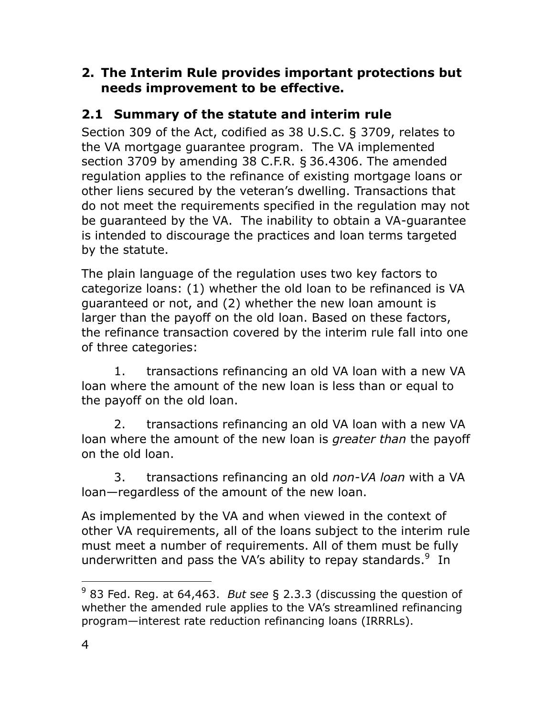### **2. The Interim Rule provides important protections but needs improvement to be effective.**

## **2.1 Summary of the statute and interim rule**

Section 309 of the Act, codified as 38 U.S.C. § 3709, relates to the VA mortgage guarantee program. The VA implemented section 3709 by amending 38 C.F.R. § 36.4306. The amended regulation applies to the refinance of existing mortgage loans or other liens secured by the veteran"s dwelling. Transactions that do not meet the requirements specified in the regulation may not be guaranteed by the VA. The inability to obtain a VA-guarantee is intended to discourage the practices and loan terms targeted by the statute.

The plain language of the regulation uses two key factors to categorize loans: (1) whether the old loan to be refinanced is VA guaranteed or not, and (2) whether the new loan amount is larger than the payoff on the old loan. Based on these factors, the refinance transaction covered by the interim rule fall into one of three categories:

1. transactions refinancing an old VA loan with a new VA loan where the amount of the new loan is less than or equal to the payoff on the old loan.

2. transactions refinancing an old VA loan with a new VA loan where the amount of the new loan is *greater than* the payoff on the old loan.

3. transactions refinancing an old *non-VA loan* with a VA loan—regardless of the amount of the new loan.

As implemented by the VA and when viewed in the context of other VA requirements, all of the loans subject to the interim rule must meet a number of requirements. All of them must be fully underwritten and pass the VA's ability to repay standards.<sup>9</sup> In

 $\overline{a}$ <sup>9</sup> 83 Fed. Reg. at 64,463. *But* s*ee* § [2.3.3](#page-21-0) (discussing the question of whether the amended rule applies to the VA's streamlined refinancing program—interest rate reduction refinancing loans (IRRRLs).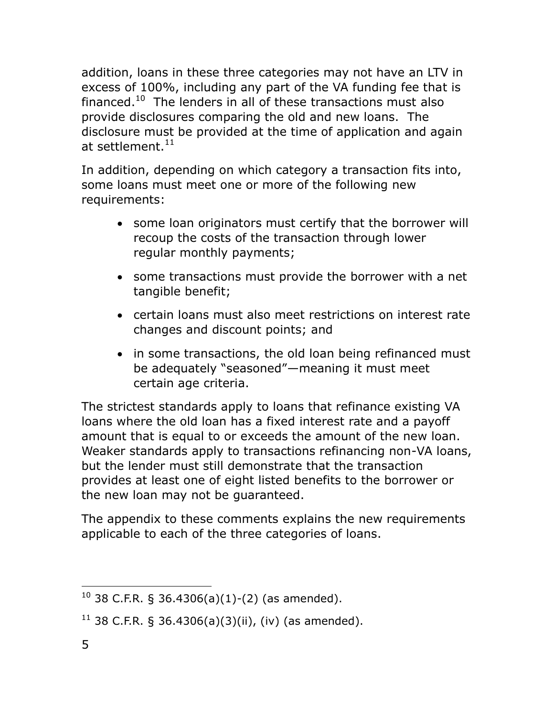addition, loans in these three categories may not have an LTV in excess of 100%, including any part of the VA funding fee that is financed.<sup>10</sup> The lenders in all of these transactions must also provide disclosures comparing the old and new loans. The disclosure must be provided at the time of application and again at settlement. $^{11}$ 

In addition, depending on which category a transaction fits into, some loans must meet one or more of the following new requirements:

- some loan originators must certify that the borrower will recoup the costs of the transaction through lower regular monthly payments;
- some transactions must provide the borrower with a net tangible benefit;
- certain loans must also meet restrictions on interest rate changes and discount points; and
- in some transactions, the old loan being refinanced must be adequately "seasoned"—meaning it must meet certain age criteria.

The strictest standards apply to loans that refinance existing VA loans where the old loan has a fixed interest rate and a payoff amount that is equal to or exceeds the amount of the new loan. Weaker standards apply to transactions refinancing non-VA loans, but the lender must still demonstrate that the transaction provides at least one of eight listed benefits to the borrower or the new loan may not be guaranteed.

The appendix to these comments explains the new requirements applicable to each of the three categories of loans.

 $\overline{a}$  $10$  38 C.F.R. § 36.4306(a)(1)-(2) (as amended).

 $11$  38 C.F.R. § 36.4306(a)(3)(ii), (iv) (as amended).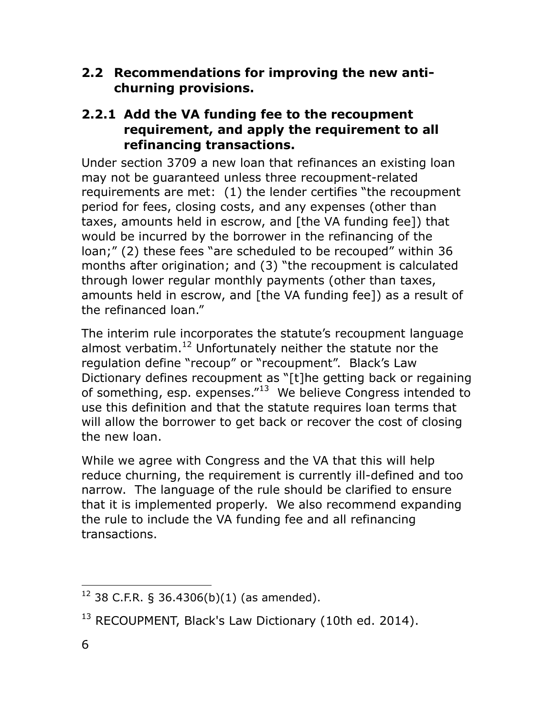**2.2 Recommendations for improving the new antichurning provisions.**

### **2.2.1 Add the VA funding fee to the recoupment requirement, and apply the requirement to all refinancing transactions.**

Under section 3709 a new loan that refinances an existing loan may not be guaranteed unless three recoupment-related requirements are met: (1) the lender certifies "the recoupment period for fees, closing costs, and any expenses (other than taxes, amounts held in escrow, and [the VA funding fee]) that would be incurred by the borrower in the refinancing of the loan;" (2) these fees "are scheduled to be recouped" within 36 months after origination; and (3) "the recoupment is calculated through lower regular monthly payments (other than taxes, amounts held in escrow, and [the VA funding fee]) as a result of the refinanced loan."

The interim rule incorporates the statute's recoupment language almost verbatim.<sup>12</sup> Unfortunately neither the statute nor the regulation define "recoup" or "recoupment". Black"s Law Dictionary defines recoupment as "[t]he getting back or regaining of something, esp. expenses."<sup>13</sup> We believe Congress intended to use this definition and that the statute requires loan terms that will allow the borrower to get back or recover the cost of closing the new loan.

While we agree with Congress and the VA that this will help reduce churning, the requirement is currently ill-defined and too narrow. The language of the rule should be clarified to ensure that it is implemented properly. We also recommend expanding the rule to include the VA funding fee and all refinancing transactions.

 $\overline{a}$  $12$  38 C.F.R. § 36.4306(b)(1) (as amended).

<sup>&</sup>lt;sup>13</sup> RECOUPMENT, Black's Law Dictionary (10th ed. 2014).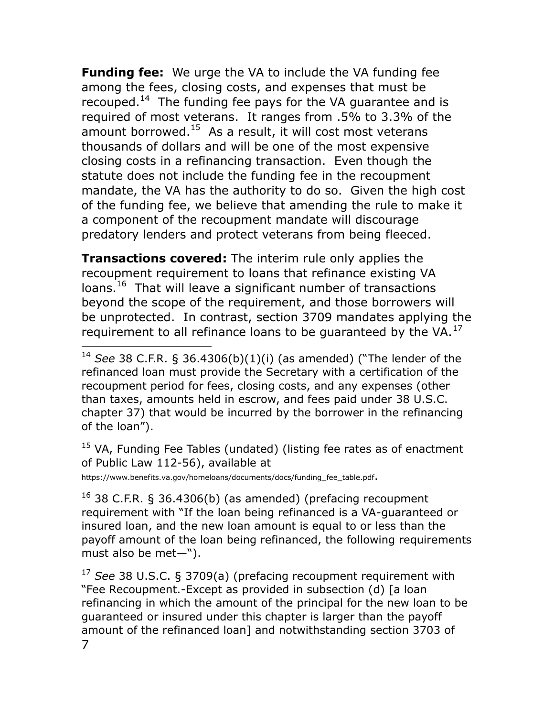**Funding fee:** We urge the VA to include the VA funding fee among the fees, closing costs, and expenses that must be recouped.<sup>14</sup> The funding fee pays for the VA guarantee and is required of most veterans. It ranges from .5% to 3.3% of the amount borrowed.<sup>15</sup> As a result, it will cost most veterans thousands of dollars and will be one of the most expensive closing costs in a refinancing transaction. Even though the statute does not include the funding fee in the recoupment mandate, the VA has the authority to do so. Given the high cost of the funding fee, we believe that amending the rule to make it a component of the recoupment mandate will discourage predatory lenders and protect veterans from being fleeced.

**Transactions covered:** The interim rule only applies the recoupment requirement to loans that refinance existing VA loans.<sup>16</sup> That will leave a significant number of transactions beyond the scope of the requirement, and those borrowers will be unprotected. In contrast, section 3709 mandates applying the requirement to all refinance loans to be guaranteed by the VA. $^{17}$ 

 $15$  VA, Funding Fee Tables (undated) (listing fee rates as of enactment of Public Law 112-56), available at

[https://www.benefits.va.gov/homeloans/documents/docs/funding\\_fee\\_table.pdf](https://www.benefits.va.gov/homeloans/documents/docs/funding_fee_table.pdf).

 $\overline{a}$ 

<sup>16</sup> 38 C.F.R. § 36.4306(b) (as amended) (prefacing recoupment requirement with "If the loan being refinanced is a VA-guaranteed or insured loan, and the new loan amount is equal to or less than the payoff amount of the loan being refinanced, the following requirements must also be met—").

7 <sup>17</sup> *See* 38 U.S.C. § 3709(a) (prefacing recoupment requirement with "Fee Recoupment.-Except as provided in subsection (d) [a loan refinancing in which the amount of the principal for the new loan to be guaranteed or insured under this chapter is larger than the payoff amount of the refinanced loan] and notwithstanding section 3703 of

<sup>14</sup> *See* 38 C.F.R. § 36.4306(b)(1)(i) (as amended) ("The lender of the refinanced loan must provide the Secretary with a certification of the recoupment period for fees, closing costs, and any expenses (other than taxes, amounts held in escrow, and fees paid under 38 U.S.C. chapter 37) that would be incurred by the borrower in the refinancing of the loan").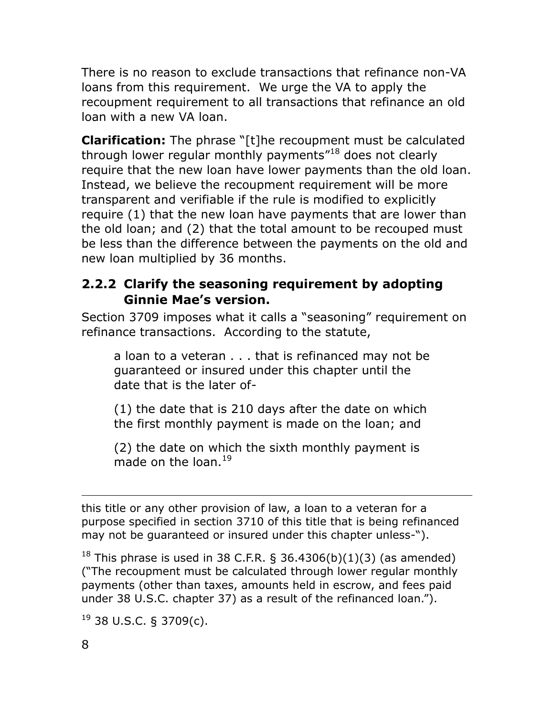There is no reason to exclude transactions that refinance non-VA loans from this requirement. We urge the VA to apply the recoupment requirement to all transactions that refinance an old loan with a new VA loan.

**Clarification:** The phrase "[t]he recoupment must be calculated through lower regular monthly payments"<sup>18</sup> does not clearly require that the new loan have lower payments than the old loan. Instead, we believe the recoupment requirement will be more transparent and verifiable if the rule is modified to explicitly require (1) that the new loan have payments that are lower than the old loan; and (2) that the total amount to be recouped must be less than the difference between the payments on the old and new loan multiplied by 36 months.

### **2.2.2 Clarify the seasoning requirement by adopting Ginnie Mae's version.**

Section 3709 imposes what it calls a "seasoning" requirement on refinance transactions. According to the statute,

a loan to a veteran . . . that is refinanced may not be guaranteed or insured under this chapter until the date that is the later of-

(1) the date that is 210 days after the date on which the first monthly payment is made on the loan; and

(2) the date on which the sixth monthly payment is made on the loan. $^{19}$ 

 $\overline{a}$ this title or any other provision of law, a loan to a veteran for a purpose specified in section 3710 of this title that is being refinanced may not be guaranteed or insured under this chapter unless-").

<sup>18</sup> This phrase is used in 38 C.F.R. § 36.4306(b)(1)(3) (as amended) ("The recoupment must be calculated through lower regular monthly payments (other than taxes, amounts held in escrow, and fees paid under 38 U.S.C. chapter 37) as a result of the refinanced loan.").

 $19$  38 U.S.C. § 3709(c).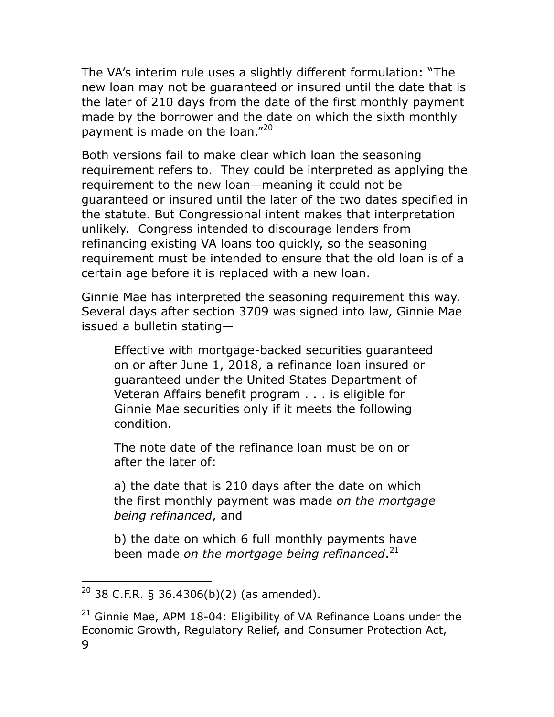The VA"s interim rule uses a slightly different formulation: "The new loan may not be guaranteed or insured until the date that is the later of 210 days from the date of the first monthly payment made by the borrower and the date on which the sixth monthly payment is made on the loan."<sup>20</sup>

Both versions fail to make clear which loan the seasoning requirement refers to. They could be interpreted as applying the requirement to the new loan—meaning it could not be guaranteed or insured until the later of the two dates specified in the statute. But Congressional intent makes that interpretation unlikely. Congress intended to discourage lenders from refinancing existing VA loans too quickly, so the seasoning requirement must be intended to ensure that the old loan is of a certain age before it is replaced with a new loan.

Ginnie Mae has interpreted the seasoning requirement this way. Several days after section 3709 was signed into law, Ginnie Mae issued a bulletin stating—

Effective with mortgage-backed securities guaranteed on or after June 1, 2018, a refinance loan insured or guaranteed under the United States Department of Veteran Affairs benefit program . . . is eligible for Ginnie Mae securities only if it meets the following condition.

The note date of the refinance loan must be on or after the later of:

a) the date that is 210 days after the date on which the first monthly payment was made *on the mortgage being refinanced*, and

b) the date on which 6 full monthly payments have been made *on the mortgage being refinanced*. 21

 $20$  38 C.F.R. § 36.4306(b)(2) (as amended).

<sup>9</sup>  $21$  Ginnie Mae, APM 18-04: Eligibility of VA Refinance Loans under the Economic Growth, Regulatory Relief, and Consumer Protection Act,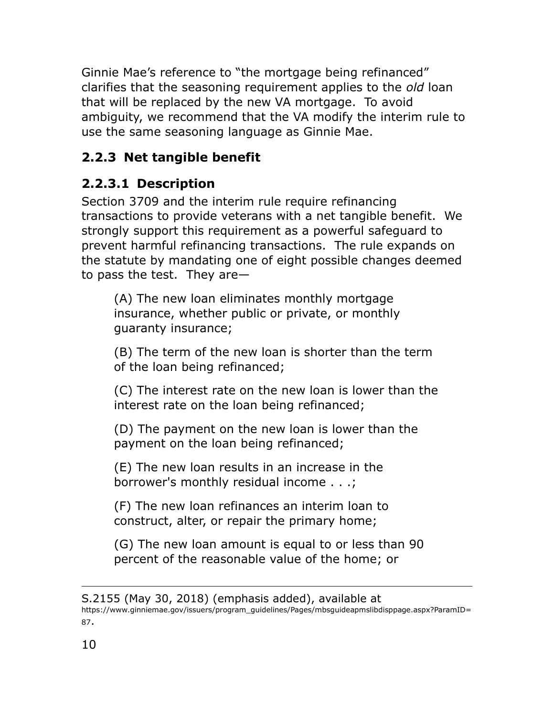Ginnie Mae"s reference to "the mortgage being refinanced" clarifies that the seasoning requirement applies to the *old* loan that will be replaced by the new VA mortgage. To avoid ambiguity, we recommend that the VA modify the interim rule to use the same seasoning language as Ginnie Mae.

## **2.2.3 Net tangible benefit**

# **2.2.3.1 Description**

Section 3709 and the interim rule require refinancing transactions to provide veterans with a net tangible benefit. We strongly support this requirement as a powerful safeguard to prevent harmful refinancing transactions. The rule expands on the statute by mandating one of eight possible changes deemed to pass the test. They are—

(A) The new loan eliminates monthly mortgage insurance, whether public or private, or monthly guaranty insurance;

(B) The term of the new loan is shorter than the term of the loan being refinanced;

(C) The interest rate on the new loan is lower than the interest rate on the loan being refinanced;

(D) The payment on the new loan is lower than the payment on the loan being refinanced;

(E) The new loan results in an increase in the borrower's monthly residual income . . .;

(F) The new loan refinances an interim loan to construct, alter, or repair the primary home;

(G) The new loan amount is equal to or less than 90 percent of the reasonable value of the home; or

S.2155 (May 30, 2018) (emphasis added), available at [https://www.ginniemae.gov/issuers/program\\_guidelines/Pages/mbsguideapmslibdisppage.aspx?ParamID=](https://www.ginniemae.gov/issuers/program_guidelines/Pages/mbsguideapmslibdisppage.aspx?ParamID=87) [87](https://www.ginniemae.gov/issuers/program_guidelines/Pages/mbsguideapmslibdisppage.aspx?ParamID=87).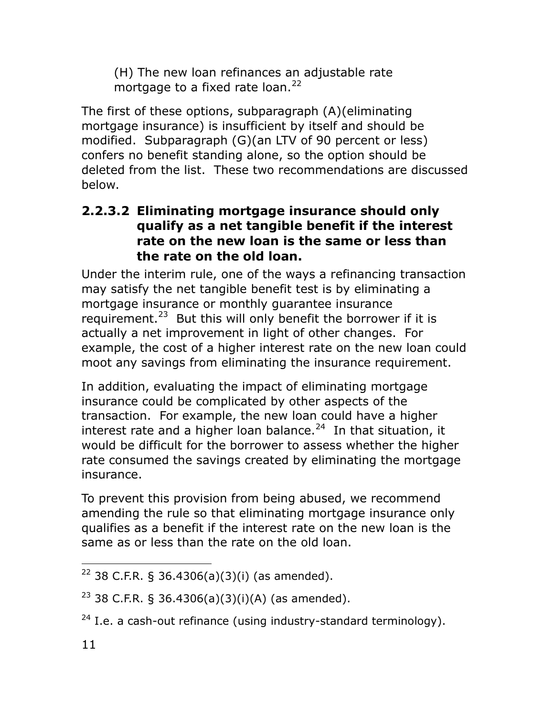(H) The new loan refinances an adjustable rate mortgage to a fixed rate loan. $^{22}$ 

The first of these options, subparagraph (A)(eliminating mortgage insurance) is insufficient by itself and should be modified. Subparagraph (G)(an LTV of 90 percent or less) confers no benefit standing alone, so the option should be deleted from the list. These two recommendations are discussed below.

### **2.2.3.2 Eliminating mortgage insurance should only qualify as a net tangible benefit if the interest rate on the new loan is the same or less than the rate on the old loan.**

Under the interim rule, one of the ways a refinancing transaction may satisfy the net tangible benefit test is by eliminating a mortgage insurance or monthly guarantee insurance requirement.<sup>23</sup> But this will only benefit the borrower if it is actually a net improvement in light of other changes. For example, the cost of a higher interest rate on the new loan could moot any savings from eliminating the insurance requirement.

In addition, evaluating the impact of eliminating mortgage insurance could be complicated by other aspects of the transaction. For example, the new loan could have a higher interest rate and a higher loan balance.<sup>24</sup> In that situation, it would be difficult for the borrower to assess whether the higher rate consumed the savings created by eliminating the mortgage insurance.

To prevent this provision from being abused, we recommend amending the rule so that eliminating mortgage insurance only qualifies as a benefit if the interest rate on the new loan is the same as or less than the rate on the old loan.

 $\overline{a}$ <sup>22</sup> 38 C.F.R. § 36.4306(a)(3)(i) (as amended).

 $23$  38 C.F.R. § 36.4306(a)(3)(i)(A) (as amended).

 $24$  I.e. a cash-out refinance (using industry-standard terminology).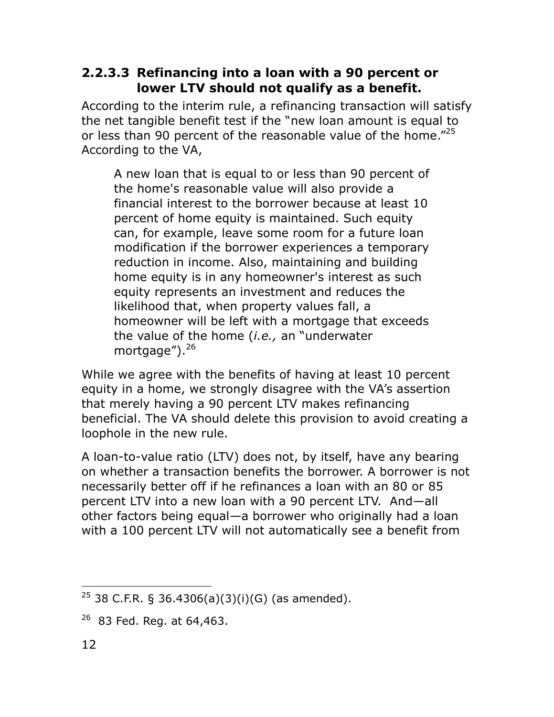### **2.2.3.3 Refinancing into a loan with a 90 percent or lower LTV should not qualify as a benefit.**

According to the interim rule, a refinancing transaction will satisfy the net tangible benefit test if the "new loan amount is equal to or less than 90 percent of the reasonable value of the home."<sup>25</sup> According to the VA,

A new loan that is equal to or less than 90 percent of the home's reasonable value will also provide a financial interest to the borrower because at least 10 percent of home equity is maintained. Such equity can, for example, leave some room for a future loan modification if the borrower experiences a temporary reduction in income. Also, maintaining and building home equity is in any homeowner's interest as such equity represents an investment and reduces the likelihood that, when property values fall, a homeowner will be left with a mortgage that exceeds the value of the home (*i.e.,* an "underwater mortgage").<sup>26</sup>

While we agree with the benefits of having at least 10 percent equity in a home, we strongly disagree with the VA"s assertion that merely having a 90 percent LTV makes refinancing beneficial. The VA should delete this provision to avoid creating a loophole in the new rule.

A loan-to-value ratio (LTV) does not, by itself, have any bearing on whether a transaction benefits the borrower. A borrower is not necessarily better off if he refinances a loan with an 80 or 85 percent LTV into a new loan with a 90 percent LTV. And—all other factors being equal—a borrower who originally had a loan with a 100 percent LTV will not automatically see a benefit from

 $\overline{a}$  $25$  38 C.F.R. § 36.4306(a)(3)(i)(G) (as amended).

 $26$  83 Fed. Reg. at 64,463.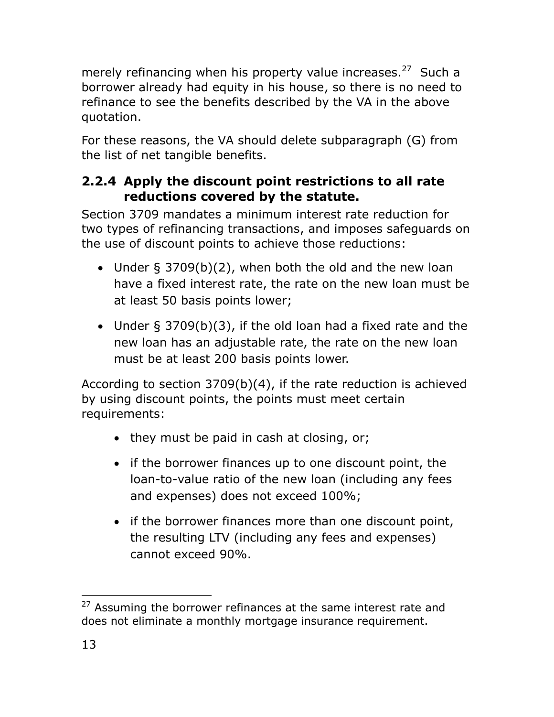merely refinancing when his property value increases.<sup>27</sup> Such a borrower already had equity in his house, so there is no need to refinance to see the benefits described by the VA in the above quotation.

For these reasons, the VA should delete subparagraph (G) from the list of net tangible benefits.

## <span id="page-15-0"></span>**2.2.4 Apply the discount point restrictions to all rate reductions covered by the statute.**

Section 3709 mandates a minimum interest rate reduction for two types of refinancing transactions, and imposes safeguards on the use of discount points to achieve those reductions:

- Under § 3709(b)(2), when both the old and the new loan have a fixed interest rate, the rate on the new loan must be at least 50 basis points lower;
- Under § 3709(b)(3), if the old loan had a fixed rate and the new loan has an adjustable rate, the rate on the new loan must be at least 200 basis points lower.

According to section 3709(b)(4), if the rate reduction is achieved by using discount points, the points must meet certain requirements:

- $\bullet$  they must be paid in cash at closing, or;
- if the borrower finances up to one discount point, the loan-to-value ratio of the new loan (including any fees and expenses) does not exceed 100%;
- if the borrower finances more than one discount point, the resulting LTV (including any fees and expenses) cannot exceed 90%.

 $\overline{a}$ <sup>27</sup> Assuming the borrower refinances at the same interest rate and does not eliminate a monthly mortgage insurance requirement.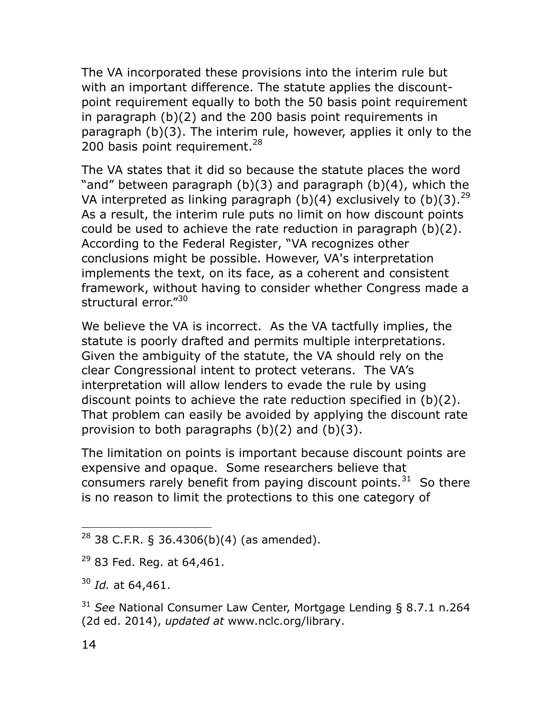The VA incorporated these provisions into the interim rule but with an important difference. The statute applies the discountpoint requirement equally to both the 50 basis point requirement in paragraph (b)(2) and the 200 basis point requirements in paragraph (b)(3). The interim rule, however, applies it only to the 200 basis point requirement. $^{28}$ 

The VA states that it did so because the statute places the word "and" between paragraph (b)(3) and paragraph (b)(4), which the VA interpreted as linking paragraph (b)(4) exclusively to (b)(3).  $^{29}$ As a result, the interim rule puts no limit on how discount points could be used to achieve the rate reduction in paragraph (b)(2). According to the Federal Register, "VA recognizes other conclusions might be possible. However, VA's interpretation implements the text, on its face, as a coherent and consistent framework, without having to consider whether Congress made a structural error."<sup>30</sup>

We believe the VA is incorrect. As the VA tactfully implies, the statute is poorly drafted and permits multiple interpretations. Given the ambiguity of the statute, the VA should rely on the clear Congressional intent to protect veterans. The VA"s interpretation will allow lenders to evade the rule by using discount points to achieve the rate reduction specified in (b)(2). That problem can easily be avoided by applying the discount rate provision to both paragraphs (b)(2) and (b)(3).

The limitation on points is important because discount points are expensive and opaque. Some researchers believe that consumers rarely benefit from paying discount points. $31$  So there is no reason to limit the protections to this one category of

<sup>31</sup> *See* National Consumer Law Center, Mortgage Lending § 8.7.1 n.264 (2d ed. 2014), *updated at* [www.nclc.org/library.](file:///C:/Users/andrew/AppData/Local/Temp/www.nclc.org/library)

 $28$  38 C.F.R. § 36.4306(b)(4) (as amended).

 $29$  83 Fed. Reg. at 64,461.

<sup>30</sup> *Id.* at 64,461.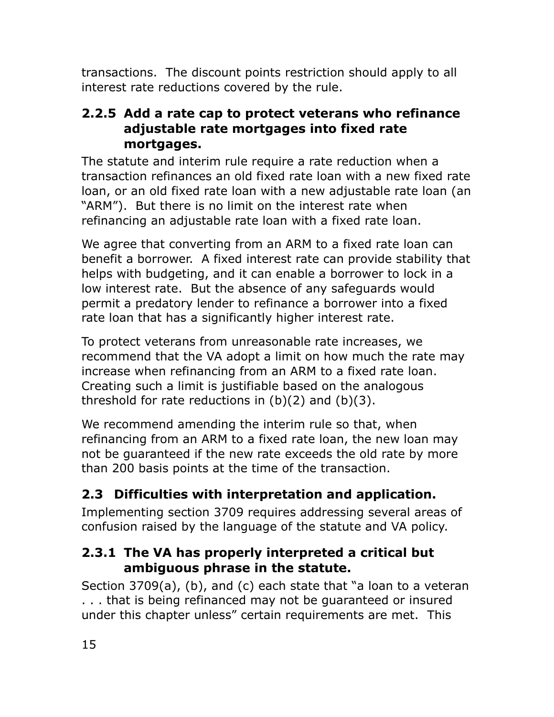transactions. The discount points restriction should apply to all interest rate reductions covered by the rule.

### <span id="page-17-0"></span>**2.2.5 Add a rate cap to protect veterans who refinance adjustable rate mortgages into fixed rate mortgages.**

The statute and interim rule require a rate reduction when a transaction refinances an old fixed rate loan with a new fixed rate loan, or an old fixed rate loan with a new adjustable rate loan (an "ARM"). But there is no limit on the interest rate when refinancing an adjustable rate loan with a fixed rate loan.

We agree that converting from an ARM to a fixed rate loan can benefit a borrower. A fixed interest rate can provide stability that helps with budgeting, and it can enable a borrower to lock in a low interest rate. But the absence of any safeguards would permit a predatory lender to refinance a borrower into a fixed rate loan that has a significantly higher interest rate.

To protect veterans from unreasonable rate increases, we recommend that the VA adopt a limit on how much the rate may increase when refinancing from an ARM to a fixed rate loan. Creating such a limit is justifiable based on the analogous threshold for rate reductions in  $(b)(2)$  and  $(b)(3)$ .

We recommend amending the interim rule so that, when refinancing from an ARM to a fixed rate loan, the new loan may not be guaranteed if the new rate exceeds the old rate by more than 200 basis points at the time of the transaction.

## **2.3 Difficulties with interpretation and application.**

Implementing section 3709 requires addressing several areas of confusion raised by the language of the statute and VA policy.

## **2.3.1 The VA has properly interpreted a critical but ambiguous phrase in the statute.**

Section 3709(a), (b), and (c) each state that "a loan to a veteran . . . that is being refinanced may not be guaranteed or insured under this chapter unless" certain requirements are met. This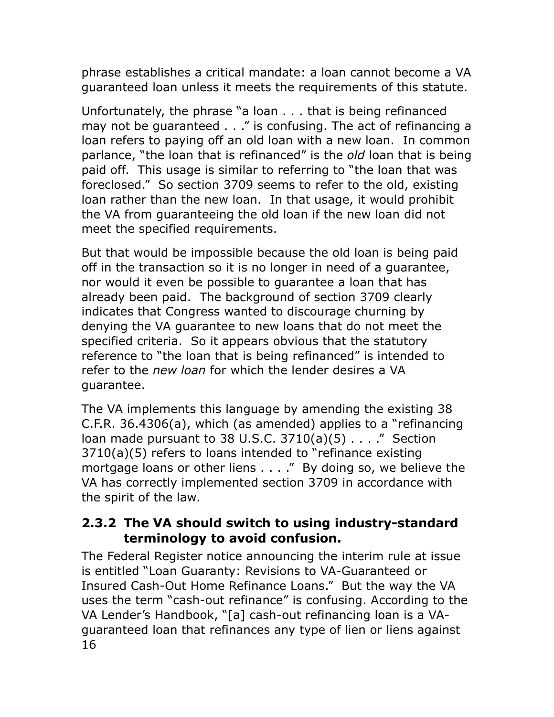phrase establishes a critical mandate: a loan cannot become a VA guaranteed loan unless it meets the requirements of this statute.

Unfortunately, the phrase "a loan . . . that is being refinanced may not be guaranteed . . ." is confusing. The act of refinancing a loan refers to paying off an old loan with a new loan. In common parlance, "the loan that is refinanced" is the *old* loan that is being paid off. This usage is similar to referring to "the loan that was foreclosed." So section 3709 seems to refer to the old, existing loan rather than the new loan. In that usage, it would prohibit the VA from guaranteeing the old loan if the new loan did not meet the specified requirements.

But that would be impossible because the old loan is being paid off in the transaction so it is no longer in need of a guarantee, nor would it even be possible to guarantee a loan that has already been paid. The background of section 3709 clearly indicates that Congress wanted to discourage churning by denying the VA guarantee to new loans that do not meet the specified criteria. So it appears obvious that the statutory reference to "the loan that is being refinanced" is intended to refer to the *new loan* for which the lender desires a VA guarantee.

The VA implements this language by amending the existing 38 C.F.R. 36.4306(a), which (as amended) applies to a "refinancing loan made pursuant to 38 U.S.C.  $3710(a)(5)$ ...." Section 3710(a)(5) refers to loans intended to "refinance existing mortgage loans or other liens . . . ." By doing so, we believe the VA has correctly implemented section 3709 in accordance with the spirit of the law.

### **2.3.2 The VA should switch to using industry-standard terminology to avoid confusion.**

16 The Federal Register notice announcing the interim rule at issue is entitled "Loan Guaranty: Revisions to VA-Guaranteed or Insured Cash-Out Home Refinance Loans." But the way the VA uses the term "cash-out refinance" is confusing. According to the VA Lender's Handbook, "[a] cash-out refinancing loan is a VAguaranteed loan that refinances any type of lien or liens against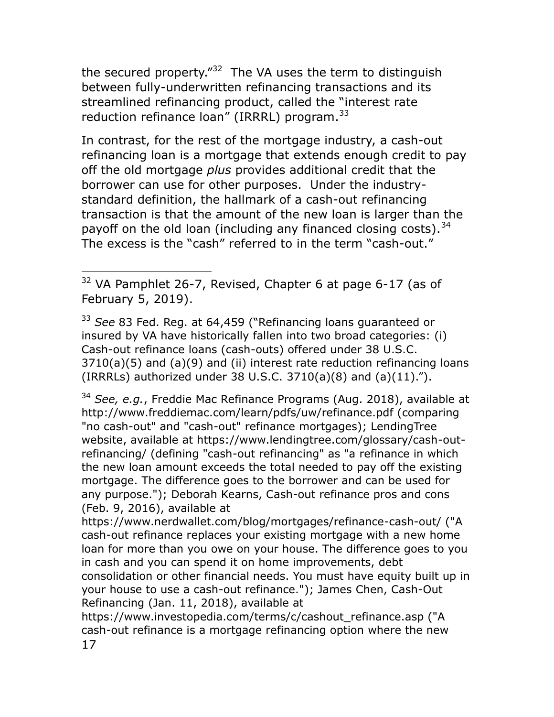the secured property." $32$  The VA uses the term to distinguish between fully-underwritten refinancing transactions and its streamlined refinancing product, called the "interest rate reduction refinance loan" (IRRRL) program.<sup>33</sup>

In contrast, for the rest of the mortgage industry, a cash-out refinancing loan is a mortgage that extends enough credit to pay off the old mortgage *plus* provides additional credit that the borrower can use for other purposes. Under the industrystandard definition, the hallmark of a cash-out refinancing transaction is that the amount of the new loan is larger than the payoff on the old loan (including any financed closing costs).  $34$ The excess is the "cash" referred to in the term "cash-out."

<sup>33</sup> *See* 83 Fed. Reg. at 64,459 ("Refinancing loans guaranteed or insured by VA have historically fallen into two broad categories: (i) Cash-out refinance loans (cash-outs) offered under 38 U.S.C. 3710(a)(5) and (a)(9) and (ii) interest rate reduction refinancing loans (IRRRLs) authorized under 38 U.S.C. 3710(a)(8) and  $(a)(11)$ .").

<sup>34</sup> *See, e.g.*, Freddie Mac Refinance Programs (Aug. 2018), available at http://www.freddiemac.com/learn/pdfs/uw/refinance.pdf (comparing "no cash-out" and "cash-out" refinance mortgages); LendingTree website, available at https://www.lendingtree.com/glossary/cash-outrefinancing/ (defining "cash-out refinancing" as "a refinance in which the new loan amount exceeds the total needed to pay off the existing mortgage. The difference goes to the borrower and can be used for any purpose."); Deborah Kearns, Cash-out refinance pros and cons (Feb. 9, 2016), available at

https://www.nerdwallet.com/blog/mortgages/refinance-cash-out/ ("A cash-out refinance replaces your existing mortgage with a new home loan for more than you owe on your house. The difference goes to you in cash and you can spend it on home improvements, debt consolidation or other financial needs. You must have equity built up in your house to use a cash-out refinance."); James Chen, Cash-Out Refinancing (Jan. 11, 2018), available at

17 https://www.investopedia.com/terms/c/cashout\_refinance.asp ("A cash-out refinance is a mortgage refinancing option where the new

 $\overline{a}$ <sup>32</sup> VA Pamphlet 26-7, Revised, Chapter 6 at page 6-17 (as of February 5, 2019).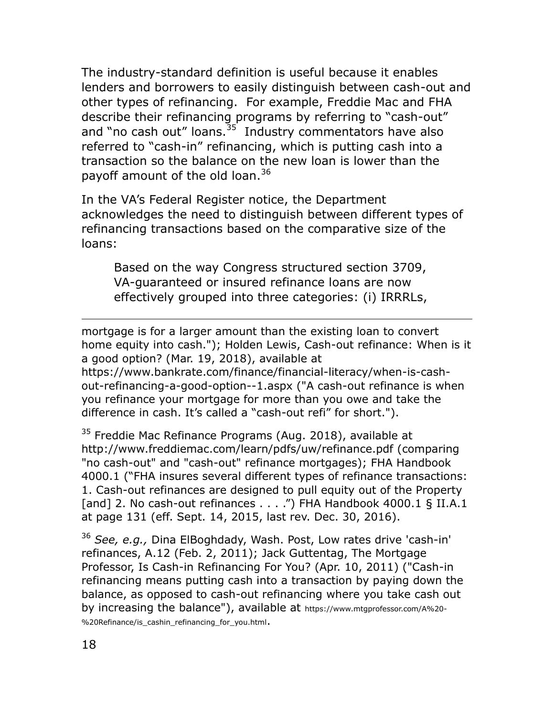The industry-standard definition is useful because it enables lenders and borrowers to easily distinguish between cash-out and other types of refinancing. For example, Freddie Mac and FHA describe their refinancing programs by referring to "cash-out" and "no cash out" loans.<sup>35</sup> Industry commentators have also referred to "cash-in" refinancing, which is putting cash into a transaction so the balance on the new loan is lower than the payoff amount of the old loan.<sup>36</sup>

In the VA"s Federal Register notice, the Department acknowledges the need to distinguish between different types of refinancing transactions based on the comparative size of the loans:

Based on the way Congress structured section 3709, VA-guaranteed or insured refinance loans are now effectively grouped into three categories: (i) IRRRLs,

mortgage is for a larger amount than the existing loan to convert home equity into cash."); Holden Lewis, Cash-out refinance: When is it a good option? (Mar. 19, 2018), available at

https://www.bankrate.com/finance/financial-literacy/when-is-cashout-refinancing-a-good-option--1.aspx ("A cash-out refinance is when you refinance your mortgage for more than you owe and take the difference in cash. It"s called a "cash-out refi" for short.").

<sup>35</sup> Freddie Mac Refinance Programs (Aug. 2018), available at http://www.freddiemac.com/learn/pdfs/uw/refinance.pdf (comparing "no cash-out" and "cash-out" refinance mortgages); FHA Handbook 4000.1 ("FHA insures several different types of refinance transactions: 1. Cash-out refinances are designed to pull equity out of the Property [and] 2. No cash-out refinances . . . .") FHA Handbook 4000.1 § II.A.1 at page 131 (eff. Sept. 14, 2015, last rev. Dec. 30, 2016).

<sup>36</sup> *See, e.g.,* Dina ElBoghdady, Wash. Post, Low rates drive 'cash-in' refinances, A.12 (Feb. 2, 2011); Jack Guttentag, The Mortgage Professor, Is Cash-in Refinancing For You? (Apr. 10, 2011) ("Cash-in refinancing means putting cash into a transaction by paying down the balance, as opposed to cash-out refinancing where you take cash out by increasing the balance"), available at [https://www.mtgprofessor.com/A%20](https://www.mtgprofessor.com/A%20-%20Refinance/is_cashin_refinancing_for_you.html)- [%20Refinance/is\\_cashin\\_refinancing\\_for\\_you.html](https://www.mtgprofessor.com/A%20-%20Refinance/is_cashin_refinancing_for_you.html).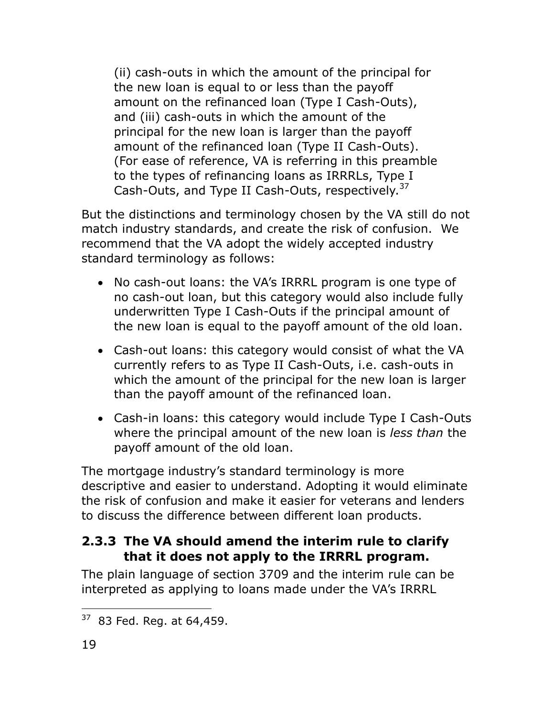(ii) cash-outs in which the amount of the principal for the new loan is equal to or less than the payoff amount on the refinanced loan (Type I Cash-Outs), and (iii) cash-outs in which the amount of the principal for the new loan is larger than the payoff amount of the refinanced loan (Type II Cash-Outs). (For ease of reference, VA is referring in this preamble to the types of refinancing loans as IRRRLs, Type I Cash-Outs, and Type II Cash-Outs, respectively.<sup>37</sup>

But the distinctions and terminology chosen by the VA still do not match industry standards, and create the risk of confusion. We recommend that the VA adopt the widely accepted industry standard terminology as follows:

- No cash-out loans: the VA's IRRRL program is one type of no cash-out loan, but this category would also include fully underwritten Type I Cash-Outs if the principal amount of the new loan is equal to the payoff amount of the old loan.
- Cash-out loans: this category would consist of what the VA currently refers to as Type II Cash-Outs, i.e. cash-outs in which the amount of the principal for the new loan is larger than the payoff amount of the refinanced loan.
- Cash-in loans: this category would include Type I Cash-Outs where the principal amount of the new loan is *less than* the payoff amount of the old loan.

The mortgage industry"s standard terminology is more descriptive and easier to understand. Adopting it would eliminate the risk of confusion and make it easier for veterans and lenders to discuss the difference between different loan products.

### <span id="page-21-0"></span>**2.3.3 The VA should amend the interim rule to clarify that it does not apply to the IRRRL program.**

The plain language of section 3709 and the interim rule can be interpreted as applying to loans made under the VA"s IRRRL

 $\overline{a}$  $37$  83 Fed. Reg. at 64,459.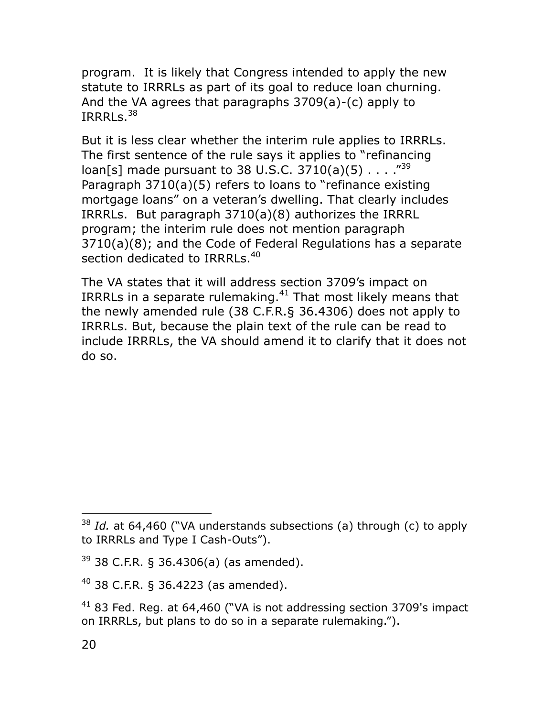program. It is likely that Congress intended to apply the new statute to IRRRLs as part of its goal to reduce loan churning. And the VA agrees that paragraphs 3709(a)-(c) apply to IRRRLs. $^{38}$ 

But it is less clear whether the interim rule applies to IRRRLs. The first sentence of the rule says it applies to "refinancing loan[s] made pursuant to 38 U.S.C. 3710(a)(5)  $\ldots$  ."<sup>39</sup> Paragraph 3710(a)(5) refers to loans to "refinance existing mortgage loans" on a veteran's dwelling. That clearly includes IRRRLs. But paragraph 3710(a)(8) authorizes the IRRRL program; the interim rule does not mention paragraph 3710(a)(8); and the Code of Federal Regulations has a separate section dedicated to IRRRLs.<sup>40</sup>

The VA states that it will address section 3709's impact on IRRRLs in a separate rulemaking. $41$  That most likely means that the newly amended rule (38 C.F.R.§ 36.4306) does not apply to IRRRLs. But, because the plain text of the rule can be read to include IRRRLs, the VA should amend it to clarify that it does not do so.

<sup>38</sup> *Id.* at 64,460 ("VA understands subsections (a) through (c) to apply to IRRRLs and Type I Cash-Outs").

 $39$  38 C.F.R. § 36.4306(a) (as amended).

 $40$  38 C.F.R. § 36.4223 (as amended).

 $41$  83 Fed. Reg. at 64,460 ("VA is not addressing section 3709's impact on IRRRLs, but plans to do so in a separate rulemaking.").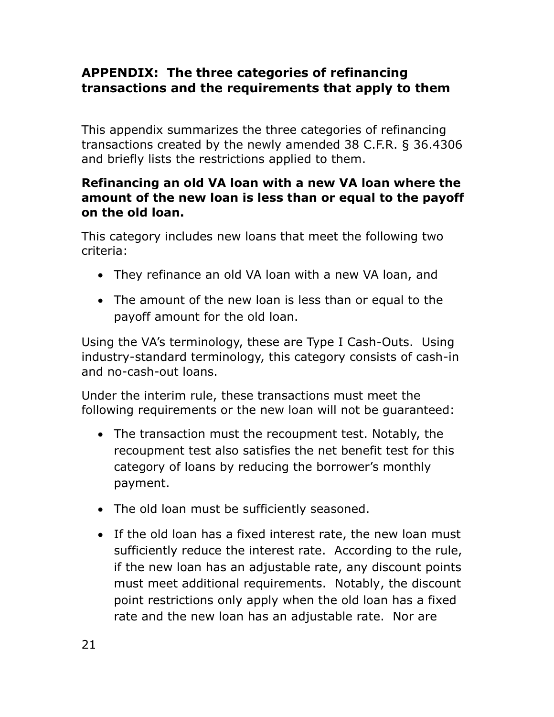## **APPENDIX: The three categories of refinancing transactions and the requirements that apply to them**

This appendix summarizes the three categories of refinancing transactions created by the newly amended 38 C.F.R. § 36.4306 and briefly lists the restrictions applied to them.

#### **Refinancing an old VA loan with a new VA loan where the amount of the new loan is less than or equal to the payoff on the old loan.**

This category includes new loans that meet the following two criteria:

- They refinance an old VA loan with a new VA loan, and
- The amount of the new loan is less than or equal to the payoff amount for the old loan.

Using the VA"s terminology, these are Type I Cash-Outs. Using industry-standard terminology, this category consists of cash-in and no-cash-out loans.

Under the interim rule, these transactions must meet the following requirements or the new loan will not be guaranteed:

- The transaction must the recoupment test. Notably, the recoupment test also satisfies the net benefit test for this category of loans by reducing the borrower"s monthly payment.
- The old loan must be sufficiently seasoned.
- If the old loan has a fixed interest rate, the new loan must sufficiently reduce the interest rate. According to the rule, if the new loan has an adjustable rate, any discount points must meet additional requirements. Notably, the discount point restrictions only apply when the old loan has a fixed rate and the new loan has an adjustable rate. Nor are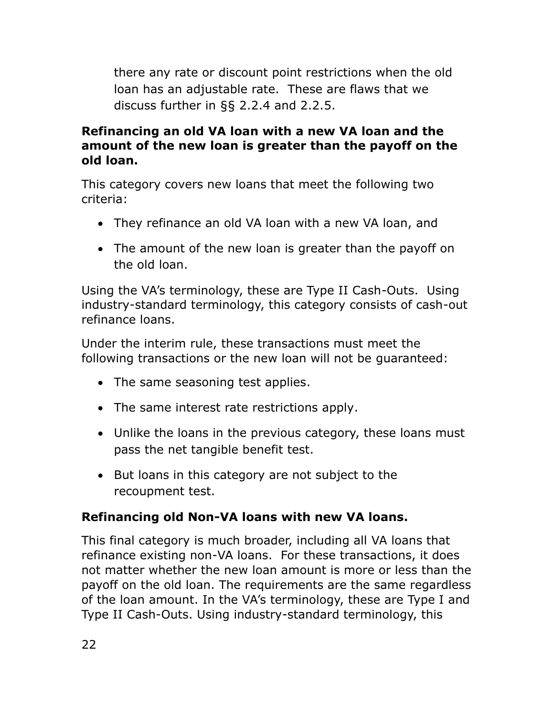there any rate or discount point restrictions when the old loan has an adjustable rate. These are flaws that we discuss further in §§ [2.2.4](#page-15-0) and [2.2.5.](#page-17-0)

### **Refinancing an old VA loan with a new VA loan and the amount of the new loan is greater than the payoff on the old loan.**

This category covers new loans that meet the following two criteria:

- They refinance an old VA loan with a new VA loan, and
- The amount of the new loan is greater than the payoff on the old loan.

Using the VA's terminology, these are Type II Cash-Outs. Using industry-standard terminology, this category consists of cash-out refinance loans.

Under the interim rule, these transactions must meet the following transactions or the new loan will not be guaranteed:

- The same seasoning test applies.
- The same interest rate restrictions apply.
- Unlike the loans in the previous category, these loans must pass the net tangible benefit test.
- But loans in this category are not subject to the recoupment test.

### **Refinancing old Non-VA loans with new VA loans.**

This final category is much broader, including all VA loans that refinance existing non-VA loans. For these transactions, it does not matter whether the new loan amount is more or less than the payoff on the old loan. The requirements are the same regardless of the loan amount. In the VA"s terminology, these are Type I and Type II Cash-Outs. Using industry-standard terminology, this